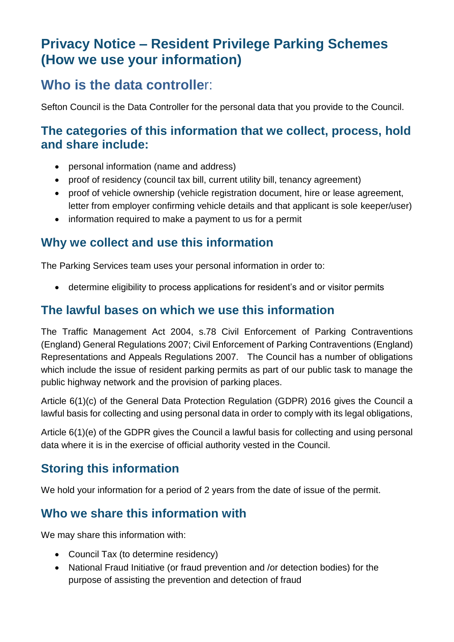# **Privacy Notice – Resident Privilege Parking Schemes (How we use your information)**

# **Who is the data controlle**r:

Sefton Council is the Data Controller for the personal data that you provide to the Council.

### **The categories of this information that we collect, process, hold and share include:**

- personal information (name and address)
- proof of residency (council tax bill, current utility bill, tenancy agreement)
- proof of vehicle ownership (vehicle registration document, hire or lease agreement, letter from employer confirming vehicle details and that applicant is sole keeper/user)
- information required to make a payment to us for a permit

#### **Why we collect and use this information**

The Parking Services team uses your personal information in order to:

• determine eligibility to process applications for resident's and or visitor permits

#### **The lawful bases on which we use this information**

The Traffic Management Act 2004, s.78 Civil Enforcement of Parking Contraventions (England) General Regulations 2007; Civil Enforcement of Parking Contraventions (England) Representations and Appeals Regulations 2007. The Council has a number of obligations which include the issue of resident parking permits as part of our public task to manage the public highway network and the provision of parking places.

Article 6(1)(c) of the General Data Protection Regulation (GDPR) 2016 gives the Council a lawful basis for collecting and using personal data in order to comply with its legal obligations,

Article 6(1)(e) of the GDPR gives the Council a lawful basis for collecting and using personal data where it is in the exercise of official authority vested in the Council.

## **Storing this information**

We hold your information for a period of 2 years from the date of issue of the permit.

### **Who we share this information with**

We may share this information with:

- Council Tax (to determine residency)
- National Fraud Initiative (or fraud prevention and /or detection bodies) for the purpose of assisting the prevention and detection of fraud